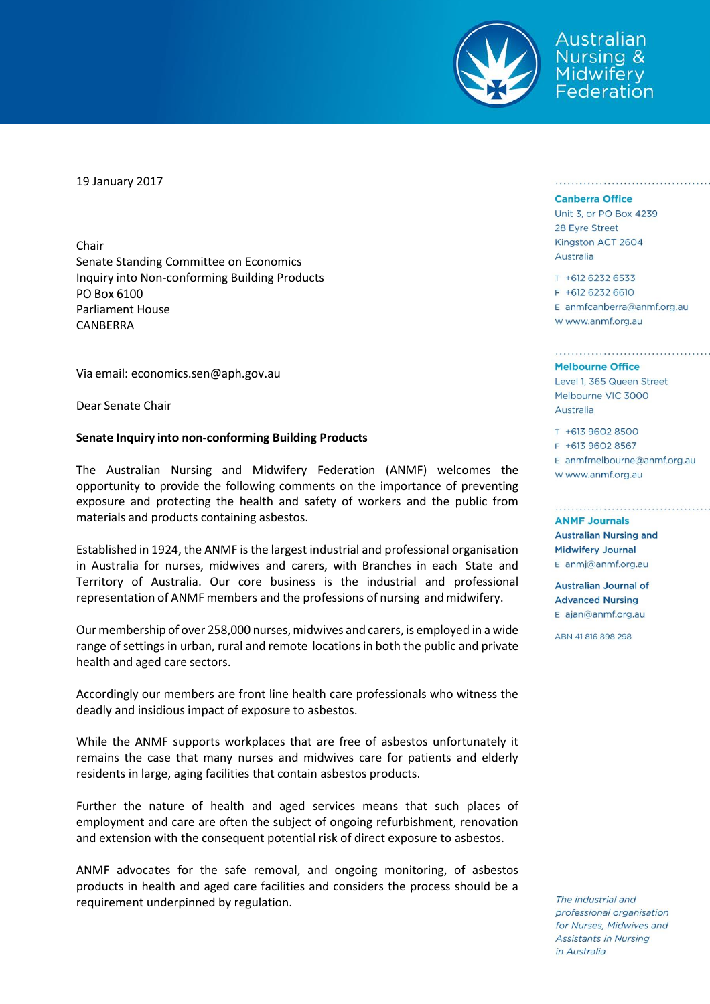

Australian **Nursing &** Midwiferv ederation

19 January 2017

Chair Senate Standing Committee on Economics Inquiry into Non-conforming Building Products PO Box 6100 Parliament House CANBERRA

Via email: economics.sen@aph.gov.au

Dear Senate Chair

## **Senate Inquiry into non-conforming Building Products**

The Australian Nursing and Midwifery Federation (ANMF) welcomes the opportunity to provide the following comments on the importance of preventing exposure and protecting the health and safety of workers and the public from materials and products containing asbestos.

Established in 1924, the ANMF isthe largest industrial and professional organisation in Australia for nurses, midwives and carers, with Branches in each State and Territory of Australia. Our core business is the industrial and professional representation of ANMF members and the professions of nursing and midwifery.

Ourmembership of over 258,000 nurses,midwives and carers, is employed in a wide range of settings in urban, rural and remote locations in both the public and private health and aged care sectors.

Accordingly our members are front line health care professionals who witness the deadly and insidious impact of exposure to asbestos.

While the ANMF supports workplaces that are free of asbestos unfortunately it remains the case that many nurses and midwives care for patients and elderly residents in large, aging facilities that contain asbestos products.

Further the nature of health and aged services means that such places of employment and care are often the subject of ongoing refurbishment, renovation and extension with the consequent potential risk of direct exposure to asbestos.

ANMF advocates for the safe removal, and ongoing monitoring, of asbestos products in health and aged care facilities and considers the process should be a requirement underpinned by regulation.

## **Canberra Office**

Unit 3, or PO Box 4239 28 Eyre Street Kingston ACT 2604 Australia

T +612 6232 6533 F +612 6232 6610 E anmfcanberra@anmf.org.au w www.anmf.org.au

a para a disebutu para a sebagai sebagai para a sebagai sebagai

## **Melbourne Office**

Level 1, 365 Queen Street Melbourne VIC 3000 Australia

T +613 9602 8500 F +613 9602 8567 E anmfmelbourne@anmf.org.au W www.anmf.org.au

**ANME Journals Australian Nursing and Midwifery Journal** E anmj@anmf.org.au

**Australian Journal of Advanced Nursing**  $E$  ajan@anmf.org.au

ABN 41816898298

The industrial and professional organisation for Nurses, Midwives and **Assistants in Nursing** in Australia